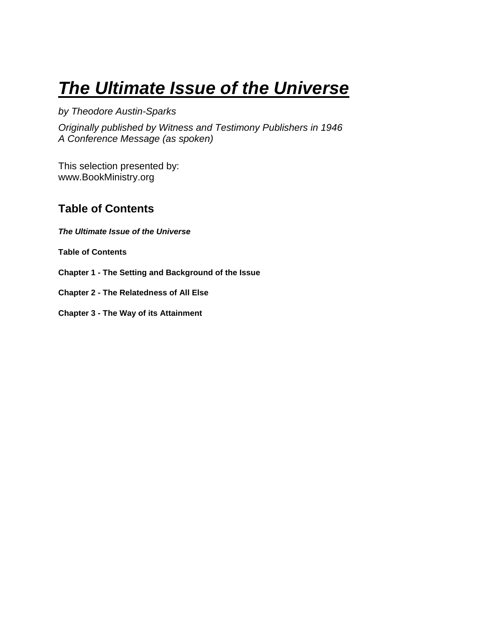# <span id="page-0-0"></span>*The Ultimate Issue of the Universe*

*by Theodore Austin-Sparks*

*Originally published by Witness and Testimony Publishers in 1946 A Conference Message (as spoken)* 

This selection presented by: www.BookMinistry.org

# <span id="page-0-1"></span>**Table of Contents**

*[The Ultimate Issue of the Universe](#page-0-0)*

**[Table of Contents](#page-0-1)**

**Chapter 1 - [The Setting and Background of the Issue](#page-1-0)**

**Chapter 2 - [The Relatedness of All Else](#page-7-0)**

**Chapter 3 - [The Way of its Attainment](#page-14-0)**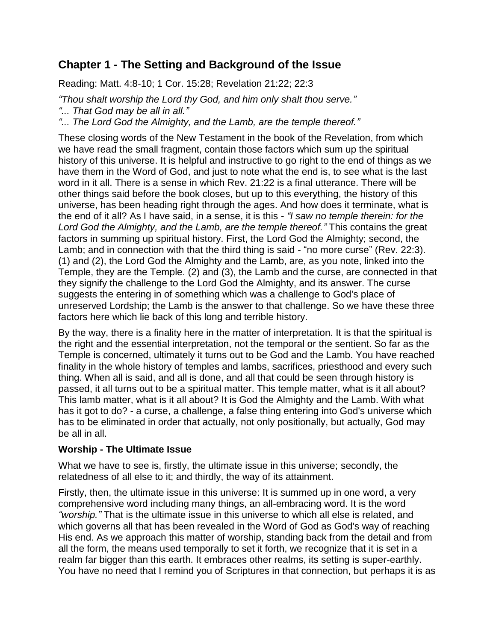# <span id="page-1-0"></span>**Chapter 1 - The Setting and Background of the Issue**

Reading: Matt. 4:8-10; 1 Cor. 15:28; Revelation 21:22; 22:3

*"Thou shalt worship the Lord thy God, and him only shalt thou serve."*

*"... That God may be all in all."*

*"... The Lord God the Almighty, and the Lamb, are the temple thereof."*

These closing words of the New Testament in the book of the Revelation, from which we have read the small fragment, contain those factors which sum up the spiritual history of this universe. It is helpful and instructive to go right to the end of things as we have them in the Word of God, and just to note what the end is, to see what is the last word in it all. There is a sense in which Rev. 21:22 is a final utterance. There will be other things said before the book closes, but up to this everything, the history of this universe, has been heading right through the ages. And how does it terminate, what is the end of it all? As I have said, in a sense, it is this - *"I saw no temple therein: for the Lord God the Almighty, and the Lamb, are the temple thereof."* This contains the great factors in summing up spiritual history. First, the Lord God the Almighty; second, the Lamb; and in connection with that the third thing is said - "no more curse" (Rev. 22:3). (1) and (2), the Lord God the Almighty and the Lamb, are, as you note, linked into the Temple, they are the Temple. (2) and (3), the Lamb and the curse, are connected in that they signify the challenge to the Lord God the Almighty, and its answer. The curse suggests the entering in of something which was a challenge to God's place of unreserved Lordship; the Lamb is the answer to that challenge. So we have these three factors here which lie back of this long and terrible history.

By the way, there is a finality here in the matter of interpretation. It is that the spiritual is the right and the essential interpretation, not the temporal or the sentient. So far as the Temple is concerned, ultimately it turns out to be God and the Lamb. You have reached finality in the whole history of temples and lambs, sacrifices, priesthood and every such thing. When all is said, and all is done, and all that could be seen through history is passed, it all turns out to be a spiritual matter. This temple matter, what is it all about? This lamb matter, what is it all about? It is God the Almighty and the Lamb. With what has it got to do? - a curse, a challenge, a false thing entering into God's universe which has to be eliminated in order that actually, not only positionally, but actually, God may be all in all.

## **Worship - The Ultimate Issue**

What we have to see is, firstly, the ultimate issue in this universe; secondly, the relatedness of all else to it; and thirdly, the way of its attainment.

Firstly, then, the ultimate issue in this universe: It is summed up in one word, a very comprehensive word including many things, an all-embracing word. It is the word *"worship."* That is the ultimate issue in this universe to which all else is related, and which governs all that has been revealed in the Word of God as God's way of reaching His end. As we approach this matter of worship, standing back from the detail and from all the form, the means used temporally to set it forth, we recognize that it is set in a realm far bigger than this earth. It embraces other realms, its setting is super-earthly. You have no need that I remind you of Scriptures in that connection, but perhaps it is as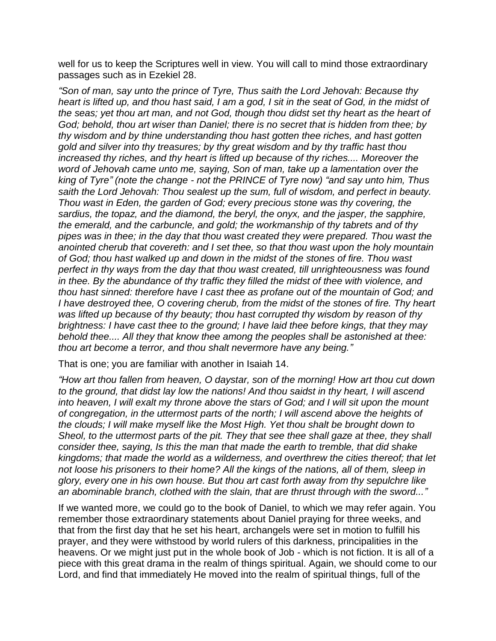well for us to keep the Scriptures well in view. You will call to mind those extraordinary passages such as in Ezekiel 28.

*"Son of man, say unto the prince of Tyre, Thus saith the Lord Jehovah: Because thy heart is lifted up, and thou hast said, I am a god, I sit in the seat of God, in the midst of the seas; yet thou art man, and not God, though thou didst set thy heart as the heart of God; behold, thou art wiser than Daniel; there is no secret that is hidden from thee; by thy wisdom and by thine understanding thou hast gotten thee riches, and hast gotten gold and silver into thy treasures; by thy great wisdom and by thy traffic hast thou increased thy riches, and thy heart is lifted up because of thy riches.... Moreover the word of Jehovah came unto me, saying, Son of man, take up a lamentation over the king of Tyre" (note the change - not the PRINCE of Tyre now) "and say unto him, Thus saith the Lord Jehovah: Thou sealest up the sum, full of wisdom, and perfect in beauty. Thou wast in Eden, the garden of God; every precious stone was thy covering, the sardius, the topaz, and the diamond, the beryl, the onyx, and the jasper, the sapphire, the emerald, and the carbuncle, and gold; the workmanship of thy tabrets and of thy pipes was in thee; in the day that thou wast created they were prepared. Thou wast the anointed cherub that covereth: and I set thee, so that thou wast upon the holy mountain of God; thou hast walked up and down in the midst of the stones of fire. Thou wast perfect in thy ways from the day that thou wast created, till unrighteousness was found in thee. By the abundance of thy traffic they filled the midst of thee with violence, and thou hast sinned: therefore have I cast thee as profane out of the mountain of God; and I have destroyed thee, O covering cherub, from the midst of the stones of fire. Thy heart was lifted up because of thy beauty; thou hast corrupted thy wisdom by reason of thy brightness: I have cast thee to the ground; I have laid thee before kings, that they may behold thee.... All they that know thee among the peoples shall be astonished at thee: thou art become a terror, and thou shalt nevermore have any being."*

That is one; you are familiar with another in Isaiah 14.

*"How art thou fallen from heaven, O daystar, son of the morning! How art thou cut down to the ground, that didst lay low the nations! And thou saidst in thy heart, I will ascend into heaven, I will exalt my throne above the stars of God; and I will sit upon the mount of congregation, in the uttermost parts of the north; I will ascend above the heights of the clouds; I will make myself like the Most High. Yet thou shalt be brought down to Sheol, to the uttermost parts of the pit. They that see thee shall gaze at thee, they shall consider thee, saying, Is this the man that made the earth to tremble, that did shake kingdoms; that made the world as a wilderness, and overthrew the cities thereof; that let not loose his prisoners to their home? All the kings of the nations, all of them, sleep in glory, every one in his own house. But thou art cast forth away from thy sepulchre like an abominable branch, clothed with the slain, that are thrust through with the sword..."*

If we wanted more, we could go to the book of Daniel, to which we may refer again. You remember those extraordinary statements about Daniel praying for three weeks, and that from the first day that he set his heart, archangels were set in motion to fulfill his prayer, and they were withstood by world rulers of this darkness, principalities in the heavens. Or we might just put in the whole book of Job - which is not fiction. It is all of a piece with this great drama in the realm of things spiritual. Again, we should come to our Lord, and find that immediately He moved into the realm of spiritual things, full of the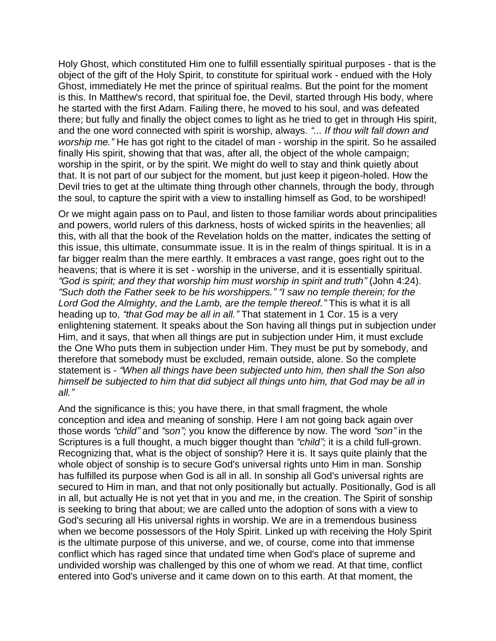Holy Ghost, which constituted Him one to fulfill essentially spiritual purposes - that is the object of the gift of the Holy Spirit, to constitute for spiritual work - endued with the Holy Ghost, immediately He met the prince of spiritual realms. But the point for the moment is this. In Matthew's record, that spiritual foe, the Devil, started through His body, where he started with the first Adam. Failing there, he moved to his soul, and was defeated there; but fully and finally the object comes to light as he tried to get in through His spirit, and the one word connected with spirit is worship, always. *"... If thou wilt fall down and worship me.*" He has got right to the citadel of man - worship in the spirit. So he assailed finally His spirit, showing that that was, after all, the object of the whole campaign; worship in the spirit, or by the spirit. We might do well to stay and think quietly about that. It is not part of our subject for the moment, but just keep it pigeon-holed. How the Devil tries to get at the ultimate thing through other channels, through the body, through the soul, to capture the spirit with a view to installing himself as God, to be worshiped!

Or we might again pass on to Paul, and listen to those familiar words about principalities and powers, world rulers of this darkness, hosts of wicked spirits in the heavenlies; all this, with all that the book of the Revelation holds on the matter, indicates the setting of this issue, this ultimate, consummate issue. It is in the realm of things spiritual. It is in a far bigger realm than the mere earthly. It embraces a vast range, goes right out to the heavens; that is where it is set - worship in the universe, and it is essentially spiritual. *"God is spirit; and they that worship him must worship in spirit and truth"* (John 4:24). *"Such doth the Father seek to be his worshippers." "I saw no temple therein; for the Lord God the Almighty, and the Lamb, are the temple thereof."* This is what it is all heading up to, *"that God may be all in all."* That statement in 1 Cor. 15 is a very enlightening statement. It speaks about the Son having all things put in subjection under Him, and it says, that when all things are put in subjection under Him, it must exclude the One Who puts them in subjection under Him. They must be put by somebody, and therefore that somebody must be excluded, remain outside, alone. So the complete statement is - *"When all things have been subjected unto him, then shall the Son also himself be subjected to him that did subject all things unto him, that God may be all in all."*

And the significance is this; you have there, in that small fragment, the whole conception and idea and meaning of sonship. Here I am not going back again over those words *"child"* and *"son";* you know the difference by now. The word *"son"* in the Scriptures is a full thought, a much bigger thought than *"child";* it is a child full-grown. Recognizing that, what is the object of sonship? Here it is. It says quite plainly that the whole object of sonship is to secure God's universal rights unto Him in man. Sonship has fulfilled its purpose when God is all in all. In sonship all God's universal rights are secured to Him in man, and that not only positionally but actually. Positionally, God is all in all, but actually He is not yet that in you and me, in the creation. The Spirit of sonship is seeking to bring that about; we are called unto the adoption of sons with a view to God's securing all His universal rights in worship. We are in a tremendous business when we become possessors of the Holy Spirit. Linked up with receiving the Holy Spirit is the ultimate purpose of this universe, and we, of course, come into that immense conflict which has raged since that undated time when God's place of supreme and undivided worship was challenged by this one of whom we read. At that time, conflict entered into God's universe and it came down on to this earth. At that moment, the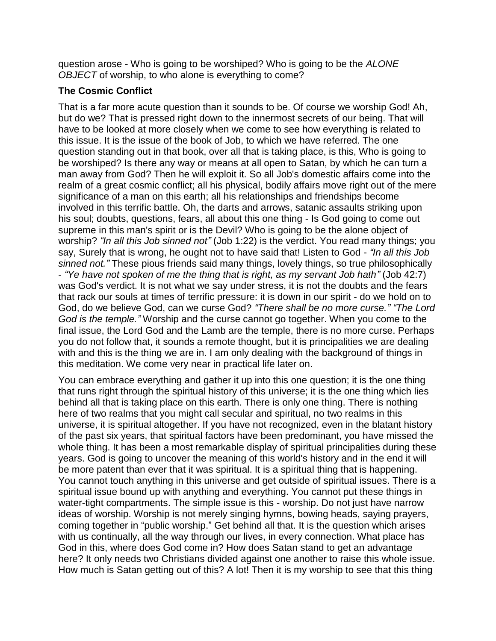question arose - Who is going to be worshiped? Who is going to be the *ALONE OBJECT* of worship, to who alone is everything to come?

## **The Cosmic Conflict**

That is a far more acute question than it sounds to be. Of course we worship God! Ah, but do we? That is pressed right down to the innermost secrets of our being. That will have to be looked at more closely when we come to see how everything is related to this issue. It is the issue of the book of Job, to which we have referred. The one question standing out in that book, over all that is taking place, is this, Who is going to be worshiped? Is there any way or means at all open to Satan, by which he can turn a man away from God? Then he will exploit it. So all Job's domestic affairs come into the realm of a great cosmic conflict; all his physical, bodily affairs move right out of the mere significance of a man on this earth; all his relationships and friendships become involved in this terrific battle. Oh, the darts and arrows, satanic assaults striking upon his soul; doubts, questions, fears, all about this one thing - Is God going to come out supreme in this man's spirit or is the Devil? Who is going to be the alone object of worship? *"In all this Job sinned not"* (Job 1:22) is the verdict. You read many things; you say, Surely that is wrong, he ought not to have said that! Listen to God - *"In all this Job sinned not."* These pious friends said many things, lovely things, so true philosophically - *"Ye have not spoken of me the thing that is right, as my servant Job hath"* (Job 42:7) was God's verdict. It is not what we say under stress, it is not the doubts and the fears that rack our souls at times of terrific pressure: it is down in our spirit - do we hold on to God, do we believe God, can we curse God? *"There shall be no more curse." "The Lord God is the temple."* Worship and the curse cannot go together. When you come to the final issue, the Lord God and the Lamb are the temple, there is no more curse. Perhaps you do not follow that, it sounds a remote thought, but it is principalities we are dealing with and this is the thing we are in. I am only dealing with the background of things in this meditation. We come very near in practical life later on.

You can embrace everything and gather it up into this one question; it is the one thing that runs right through the spiritual history of this universe; it is the one thing which lies behind all that is taking place on this earth. There is only one thing. There is nothing here of two realms that you might call secular and spiritual, no two realms in this universe, it is spiritual altogether. If you have not recognized, even in the blatant history of the past six years, that spiritual factors have been predominant, you have missed the whole thing. It has been a most remarkable display of spiritual principalities during these years. God is going to uncover the meaning of this world's history and in the end it will be more patent than ever that it was spiritual. It is a spiritual thing that is happening. You cannot touch anything in this universe and get outside of spiritual issues. There is a spiritual issue bound up with anything and everything. You cannot put these things in water-tight compartments. The simple issue is this - worship. Do not just have narrow ideas of worship. Worship is not merely singing hymns, bowing heads, saying prayers, coming together in "public worship." Get behind all that. It is the question which arises with us continually, all the way through our lives, in every connection. What place has God in this, where does God come in? How does Satan stand to get an advantage here? It only needs two Christians divided against one another to raise this whole issue. How much is Satan getting out of this? A lot! Then it is my worship to see that this thing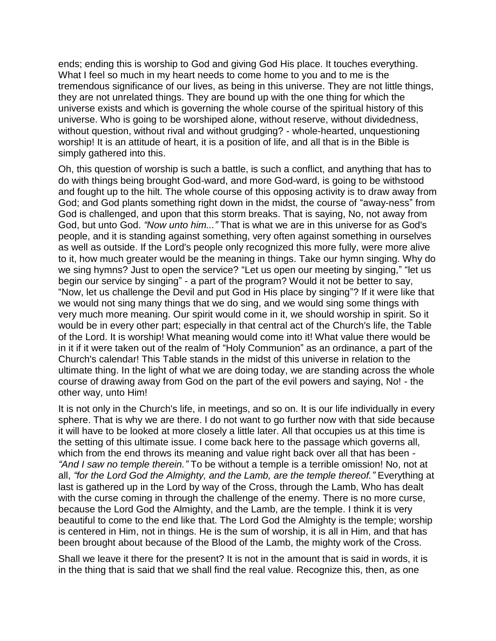ends; ending this is worship to God and giving God His place. It touches everything. What I feel so much in my heart needs to come home to you and to me is the tremendous significance of our lives, as being in this universe. They are not little things, they are not unrelated things. They are bound up with the one thing for which the universe exists and which is governing the whole course of the spiritual history of this universe. Who is going to be worshiped alone, without reserve, without dividedness, without question, without rival and without grudging? - whole-hearted, unquestioning worship! It is an attitude of heart, it is a position of life, and all that is in the Bible is simply gathered into this.

Oh, this question of worship is such a battle, is such a conflict, and anything that has to do with things being brought God-ward, and more God-ward, is going to be withstood and fought up to the hilt. The whole course of this opposing activity is to draw away from God; and God plants something right down in the midst, the course of "away-ness" from God is challenged, and upon that this storm breaks. That is saying, No, not away from God, but unto God. *"Now unto him..."* That is what we are in this universe for as God's people, and it is standing against something, very often against something in ourselves as well as outside. If the Lord's people only recognized this more fully, were more alive to it, how much greater would be the meaning in things. Take our hymn singing. Why do we sing hymns? Just to open the service? "Let us open our meeting by singing," "let us begin our service by singing" - a part of the program? Would it not be better to say, "Now, let us challenge the Devil and put God in His place by singing"? If it were like that we would not sing many things that we do sing, and we would sing some things with very much more meaning. Our spirit would come in it, we should worship in spirit. So it would be in every other part; especially in that central act of the Church's life, the Table of the Lord. It is worship! What meaning would come into it! What value there would be in it if it were taken out of the realm of "Holy Communion" as an ordinance, a part of the Church's calendar! This Table stands in the midst of this universe in relation to the ultimate thing. In the light of what we are doing today, we are standing across the whole course of drawing away from God on the part of the evil powers and saying, No! - the other way, unto Him!

It is not only in the Church's life, in meetings, and so on. It is our life individually in every sphere. That is why we are there. I do not want to go further now with that side because it will have to be looked at more closely a little later. All that occupies us at this time is the setting of this ultimate issue. I come back here to the passage which governs all, which from the end throws its meaning and value right back over all that has been -*"And I saw no temple therein."* To be without a temple is a terrible omission! No, not at all, *"for the Lord God the Almighty, and the Lamb, are the temple thereof."* Everything at last is gathered up in the Lord by way of the Cross, through the Lamb, Who has dealt with the curse coming in through the challenge of the enemy. There is no more curse, because the Lord God the Almighty, and the Lamb, are the temple. I think it is very beautiful to come to the end like that. The Lord God the Almighty is the temple; worship is centered in Him, not in things. He is the sum of worship, it is all in Him, and that has been brought about because of the Blood of the Lamb, the mighty work of the Cross.

Shall we leave it there for the present? It is not in the amount that is said in words, it is in the thing that is said that we shall find the real value. Recognize this, then, as one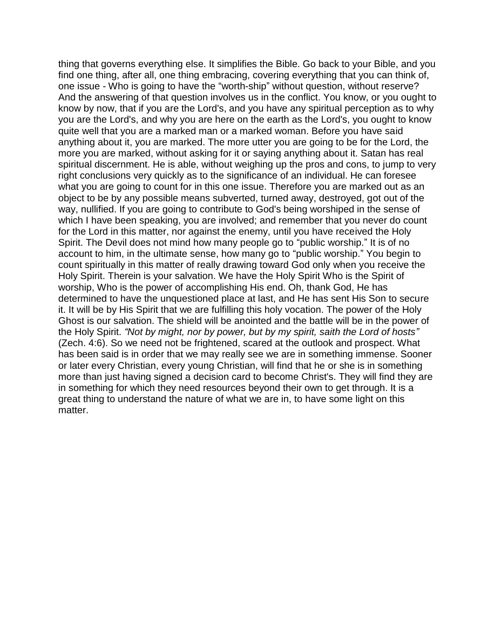thing that governs everything else. It simplifies the Bible. Go back to your Bible, and you find one thing, after all, one thing embracing, covering everything that you can think of, one issue - Who is going to have the "worth-ship" without question, without reserve? And the answering of that question involves us in the conflict. You know, or you ought to know by now, that if you are the Lord's, and you have any spiritual perception as to why you are the Lord's, and why you are here on the earth as the Lord's, you ought to know quite well that you are a marked man or a marked woman. Before you have said anything about it, you are marked. The more utter you are going to be for the Lord, the more you are marked, without asking for it or saying anything about it. Satan has real spiritual discernment. He is able, without weighing up the pros and cons, to jump to very right conclusions very quickly as to the significance of an individual. He can foresee what you are going to count for in this one issue. Therefore you are marked out as an object to be by any possible means subverted, turned away, destroyed, got out of the way, nullified. If you are going to contribute to God's being worshiped in the sense of which I have been speaking, you are involved; and remember that you never do count for the Lord in this matter, nor against the enemy, until you have received the Holy Spirit. The Devil does not mind how many people go to "public worship." It is of no account to him, in the ultimate sense, how many go to "public worship." You begin to count spiritually in this matter of really drawing toward God only when you receive the Holy Spirit. Therein is your salvation. We have the Holy Spirit Who is the Spirit of worship, Who is the power of accomplishing His end. Oh, thank God, He has determined to have the unquestioned place at last, and He has sent His Son to secure it. It will be by His Spirit that we are fulfilling this holy vocation. The power of the Holy Ghost is our salvation. The shield will be anointed and the battle will be in the power of the Holy Spirit. *"Not by might, nor by power, but by my spirit, saith the Lord of hosts"* (Zech. 4:6). So we need not be frightened, scared at the outlook and prospect. What has been said is in order that we may really see we are in something immense. Sooner or later every Christian, every young Christian, will find that he or she is in something more than just having signed a decision card to become Christ's. They will find they are in something for which they need resources beyond their own to get through. It is a great thing to understand the nature of what we are in, to have some light on this matter.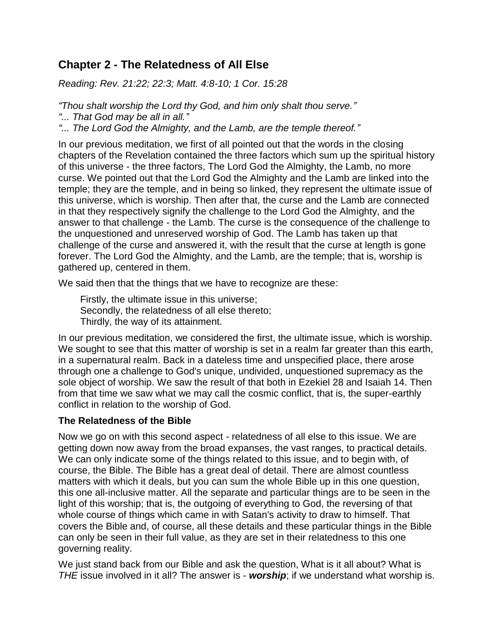# <span id="page-7-0"></span>**Chapter 2 - The Relatedness of All Else**

*Reading: Rev. 21:22; 22:3; Matt. 4:8-10; 1 Cor. 15:28*

*"Thou shalt worship the Lord thy God, and him only shalt thou serve."*

*"... That God may be all in all."*

*"... The Lord God the Almighty, and the Lamb, are the temple thereof."*

In our previous meditation, we first of all pointed out that the words in the closing chapters of the Revelation contained the three factors which sum up the spiritual history of this universe - the three factors, The Lord God the Almighty, the Lamb, no more curse. We pointed out that the Lord God the Almighty and the Lamb are linked into the temple; they are the temple, and in being so linked, they represent the ultimate issue of this universe, which is worship. Then after that, the curse and the Lamb are connected in that they respectively signify the challenge to the Lord God the Almighty, and the answer to that challenge - the Lamb. The curse is the consequence of the challenge to the unquestioned and unreserved worship of God. The Lamb has taken up that challenge of the curse and answered it, with the result that the curse at length is gone forever. The Lord God the Almighty, and the Lamb, are the temple; that is, worship is gathered up, centered in them.

We said then that the things that we have to recognize are these:

Firstly, the ultimate issue in this universe; Secondly, the relatedness of all else thereto; Thirdly, the way of its attainment.

In our previous meditation, we considered the first, the ultimate issue, which is worship. We sought to see that this matter of worship is set in a realm far greater than this earth, in a supernatural realm. Back in a dateless time and unspecified place, there arose through one a challenge to God's unique, undivided, unquestioned supremacy as the sole object of worship. We saw the result of that both in Ezekiel 28 and Isaiah 14. Then from that time we saw what we may call the cosmic conflict, that is, the super-earthly conflict in relation to the worship of God.

## **The Relatedness of the Bible**

Now we go on with this second aspect - relatedness of all else to this issue. We are getting down now away from the broad expanses, the vast ranges, to practical details. We can only indicate some of the things related to this issue, and to begin with, of course, the Bible. The Bible has a great deal of detail. There are almost countless matters with which it deals, but you can sum the whole Bible up in this one question, this one all-inclusive matter. All the separate and particular things are to be seen in the light of this worship; that is, the outgoing of everything to God, the reversing of that whole course of things which came in with Satan's activity to draw to himself. That covers the Bible and, of course, all these details and these particular things in the Bible can only be seen in their full value, as they are set in their relatedness to this one governing reality.

We just stand back from our Bible and ask the question, What is it all about? What is *THE* issue involved in it all? The answer is - *worship*; if we understand what worship is.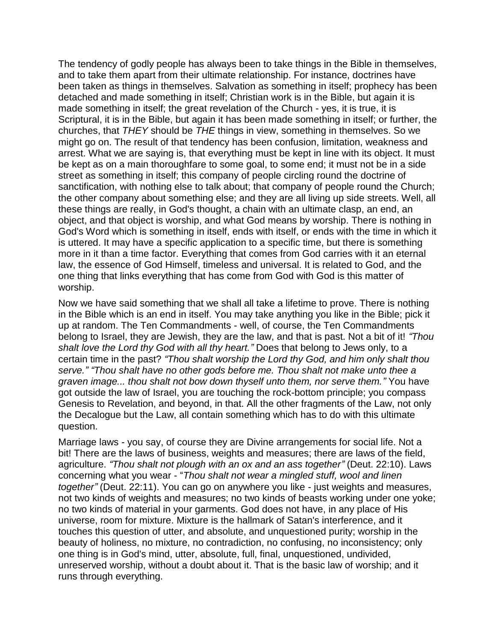The tendency of godly people has always been to take things in the Bible in themselves, and to take them apart from their ultimate relationship. For instance, doctrines have been taken as things in themselves. Salvation as something in itself; prophecy has been detached and made something in itself; Christian work is in the Bible, but again it is made something in itself; the great revelation of the Church - yes, it is true, it is Scriptural, it is in the Bible, but again it has been made something in itself; or further, the churches, that *THEY* should be *THE* things in view, something in themselves. So we might go on. The result of that tendency has been confusion, limitation, weakness and arrest. What we are saying is, that everything must be kept in line with its object. It must be kept as on a main thoroughfare to some goal, to some end; it must not be in a side street as something in itself; this company of people circling round the doctrine of sanctification, with nothing else to talk about; that company of people round the Church; the other company about something else; and they are all living up side streets. Well, all these things are really, in God's thought, a chain with an ultimate clasp, an end, an object, and that object is worship, and what God means by worship. There is nothing in God's Word which is something in itself, ends with itself, or ends with the time in which it is uttered. It may have a specific application to a specific time, but there is something more in it than a time factor. Everything that comes from God carries with it an eternal law, the essence of God Himself, timeless and universal. It is related to God, and the one thing that links everything that has come from God with God is this matter of worship.

Now we have said something that we shall all take a lifetime to prove. There is nothing in the Bible which is an end in itself. You may take anything you like in the Bible; pick it up at random. The Ten Commandments - well, of course, the Ten Commandments belong to Israel, they are Jewish, they are the law, and that is past. Not a bit of it! *"Thou shalt love the Lord thy God with all thy heart."* Does that belong to Jews only, to a certain time in the past? *"Thou shalt worship the Lord thy God, and him only shalt thou serve." "Thou shalt have no other gods before me. Thou shalt not make unto thee a graven image... thou shalt not bow down thyself unto them, nor serve them."* You have got outside the law of Israel, you are touching the rock-bottom principle; you compass Genesis to Revelation, and beyond, in that. All the other fragments of the Law, not only the Decalogue but the Law, all contain something which has to do with this ultimate question.

Marriage laws - you say, of course they are Divine arrangements for social life. Not a bit! There are the laws of business, weights and measures; there are laws of the field, agriculture. *"Thou shalt not plough with an ox and an ass together"* (Deut. 22:10). Laws concerning what you wear - "*Thou shalt not wear a mingled stuff, wool and linen together"* (Deut. 22:11). You can go on anywhere you like - just weights and measures, not two kinds of weights and measures; no two kinds of beasts working under one yoke; no two kinds of material in your garments. God does not have, in any place of His universe, room for mixture. Mixture is the hallmark of Satan's interference, and it touches this question of utter, and absolute, and unquestioned purity; worship in the beauty of holiness, no mixture, no contradiction, no confusing, no inconsistency; only one thing is in God's mind, utter, absolute, full, final, unquestioned, undivided, unreserved worship, without a doubt about it. That is the basic law of worship; and it runs through everything.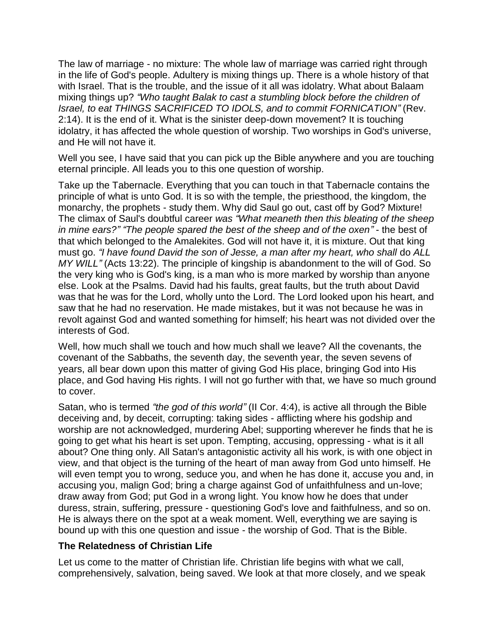The law of marriage - no mixture: The whole law of marriage was carried right through in the life of God's people. Adultery is mixing things up. There is a whole history of that with Israel. That is the trouble, and the issue of it all was idolatry. What about Balaam mixing things up? *"Who taught Balak to cast a stumbling block before the children of Israel, to eat THINGS SACRIFICED TO IDOLS, and to commit FORNICATION"* (Rev. 2:14). It is the end of it. What is the sinister deep-down movement? It is touching idolatry, it has affected the whole question of worship. Two worships in God's universe, and He will not have it.

Well you see, I have said that you can pick up the Bible anywhere and you are touching eternal principle. All leads you to this one question of worship.

Take up the Tabernacle. Everything that you can touch in that Tabernacle contains the principle of what is unto God. It is so with the temple, the priesthood, the kingdom, the monarchy, the prophets - study them. Why did Saul go out, cast off by God? Mixture! The climax of Saul's doubtful career *was "What meaneth then this bleating of the sheep in mine ears?" "The people spared the best of the sheep and of the oxen"* - the best of that which belonged to the Amalekites. God will not have it, it is mixture. Out that king must go. *"I have found David the son of Jesse, a man after my heart, who shall* do *ALL MY WILL"* (Acts 13:22). The principle of kingship is abandonment to the will of God. So the very king who is God's king, is a man who is more marked by worship than anyone else. Look at the Psalms. David had his faults, great faults, but the truth about David was that he was for the Lord, wholly unto the Lord. The Lord looked upon his heart, and saw that he had no reservation. He made mistakes, but it was not because he was in revolt against God and wanted something for himself; his heart was not divided over the interests of God.

Well, how much shall we touch and how much shall we leave? All the covenants, the covenant of the Sabbaths, the seventh day, the seventh year, the seven sevens of years, all bear down upon this matter of giving God His place, bringing God into His place, and God having His rights. I will not go further with that, we have so much ground to cover.

Satan, who is termed *"the god of this world"* (II Cor. 4:4), is active all through the Bible deceiving and, by deceit, corrupting: taking sides - afflicting where his godship and worship are not acknowledged, murdering Abel; supporting wherever he finds that he is going to get what his heart is set upon. Tempting, accusing, oppressing - what is it all about? One thing only. All Satan's antagonistic activity all his work, is with one object in view, and that object is the turning of the heart of man away from God unto himself. He will even tempt you to wrong, seduce you, and when he has done it, accuse you and, in accusing you, malign God; bring a charge against God of unfaithfulness and un-love; draw away from God; put God in a wrong light. You know how he does that under duress, strain, suffering, pressure - questioning God's love and faithfulness, and so on. He is always there on the spot at a weak moment. Well, everything we are saying is bound up with this one question and issue - the worship of God. That is the Bible.

#### **The Relatedness of Christian Life**

Let us come to the matter of Christian life. Christian life begins with what we call, comprehensively, salvation, being saved. We look at that more closely, and we speak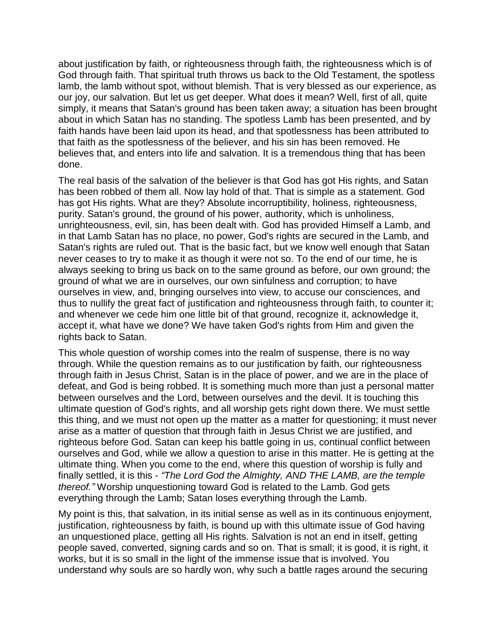about justification by faith, or righteousness through faith, the righteousness which is of God through faith. That spiritual truth throws us back to the Old Testament, the spotless lamb, the lamb without spot, without blemish. That is very blessed as our experience, as our joy, our salvation. But let us get deeper. What does it mean? Well, first of all, quite simply, it means that Satan's ground has been taken away; a situation has been brought about in which Satan has no standing. The spotless Lamb has been presented, and by faith hands have been laid upon its head, and that spotlessness has been attributed to that faith as the spotlessness of the believer, and his sin has been removed. He believes that, and enters into life and salvation. It is a tremendous thing that has been done.

The real basis of the salvation of the believer is that God has got His rights, and Satan has been robbed of them all. Now lay hold of that. That is simple as a statement. God has got His rights. What are they? Absolute incorruptibility, holiness, righteousness, purity. Satan's ground, the ground of his power, authority, which is unholiness, unrighteousness, evil, sin, has been dealt with. God has provided Himself a Lamb, and in that Lamb Satan has no place, no power, God's rights are secured in the Lamb, and Satan's rights are ruled out. That is the basic fact, but we know well enough that Satan never ceases to try to make it as though it were not so. To the end of our time, he is always seeking to bring us back on to the same ground as before, our own ground; the ground of what we are in ourselves, our own sinfulness and corruption; to have ourselves in view, and, bringing ourselves into view, to accuse our consciences, and thus to nullify the great fact of justification and righteousness through faith, to counter it; and whenever we cede him one little bit of that ground, recognize it, acknowledge it, accept it, what have we done? We have taken God's rights from Him and given the rights back to Satan.

This whole question of worship comes into the realm of suspense, there is no way through. While the question remains as to our justification by faith, our righteousness through faith in Jesus Christ, Satan is in the place of power, and we are in the place of defeat, and God is being robbed. It is something much more than just a personal matter between ourselves and the Lord, between ourselves and the devil. It is touching this ultimate question of God's rights, and all worship gets right down there. We must settle this thing, and we must not open up the matter as a matter for questioning; it must never arise as a matter of question that through faith in Jesus Christ we are justified, and righteous before God. Satan can keep his battle going in us, continual conflict between ourselves and God, while we allow a question to arise in this matter. He is getting at the ultimate thing. When you come to the end, where this question of worship is fully and finally settled, it is this - *"The Lord God the Almighty, AND THE LAMB, are the temple thereof."* Worship unquestioning toward God is related to the Lamb. God gets everything through the Lamb; Satan loses everything through the Lamb.

My point is this, that salvation, in its initial sense as well as in its continuous enjoyment, justification, righteousness by faith, is bound up with this ultimate issue of God having an unquestioned place, getting all His rights. Salvation is not an end in itself, getting people saved, converted, signing cards and so on. That is small; it is good, it is right, it works, but it is so small in the light of the immense issue that is involved. You understand why souls are so hardly won, why such a battle rages around the securing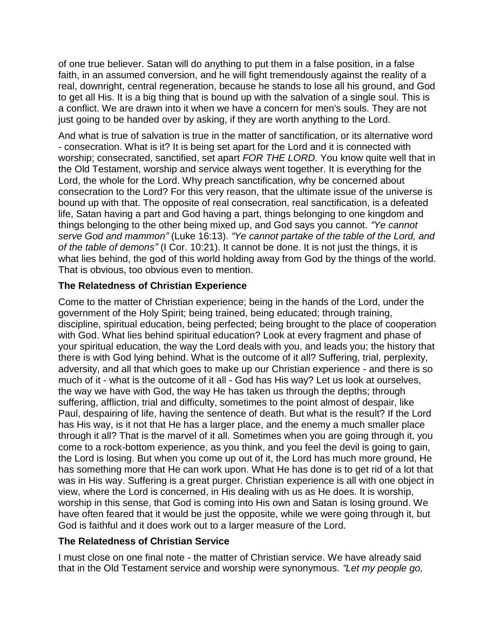of one true believer. Satan will do anything to put them in a false position, in a false faith, in an assumed conversion, and he will fight tremendously against the reality of a real, downright, central regeneration, because he stands to lose all his ground, and God to get all His. It is a big thing that is bound up with the salvation of a single soul. This is a conflict. We are drawn into it when we have a concern for men's souls. They are not just going to be handed over by asking, if they are worth anything to the Lord.

And what is true of salvation is true in the matter of sanctification, or its alternative word - consecration. What is it? It is being set apart for the Lord and it is connected with worship; consecrated, sanctified, set apart *FOR THE LORD.* You know quite well that in the Old Testament, worship and service always went together. It is everything for the Lord, the whole for the Lord. Why preach sanctification, why be concerned about consecration to the Lord? For this very reason, that the ultimate issue of the universe is bound up with that. The opposite of real consecration, real sanctification, is a defeated life, Satan having a part and God having a part, things belonging to one kingdom and things belonging to the other being mixed up, and God says you cannot. *"Ye cannot serve God and mammon"* (Luke 16:13). *"Ye cannot partake of the table of the Lord, and of the table of demons"* (I Cor. 10:21). It cannot be done. It is not just the things, it is what lies behind, the god of this world holding away from God by the things of the world. That is obvious, too obvious even to mention.

#### **The Relatedness of Christian Experience**

Come to the matter of Christian experience; being in the hands of the Lord, under the government of the Holy Spirit; being trained, being educated; through training, discipline, spiritual education, being perfected; being brought to the place of cooperation with God. What lies behind spiritual education? Look at every fragment and phase of your spiritual education, the way the Lord deals with you, and leads you; the history that there is with God lying behind. What is the outcome of it all? Suffering, trial, perplexity, adversity, and all that which goes to make up our Christian experience - and there is so much of it - what is the outcome of it all - God has His way? Let us look at ourselves, the way we have with God, the way He has taken us through the depths; through suffering, affliction, trial and difficulty, sometimes to the point almost of despair, like Paul, despairing of life, having the sentence of death. But what is the result? If the Lord has His way, is it not that He has a larger place, and the enemy a much smaller place through it all? That is the marvel of it all. Sometimes when you are going through it, you come to a rock-bottom experience, as you think, and you feel the devil is going to gain, the Lord is losing. But when you come up out of it, the Lord has much more ground, He has something more that He can work upon. What He has done is to get rid of a lot that was in His way. Suffering is a great purger. Christian experience is all with one object in view, where the Lord is concerned, in His dealing with us as He does. It is worship, worship in this sense, that God is coming into His own and Satan is losing ground. We have often feared that it would be just the opposite, while we were going through it, but God is faithful and it does work out to a larger measure of the Lord.

#### **The Relatedness of Christian Service**

I must close on one final note - the matter of Christian service. We have already said that in the Old Testament service and worship were synonymous. *"Let my people go,*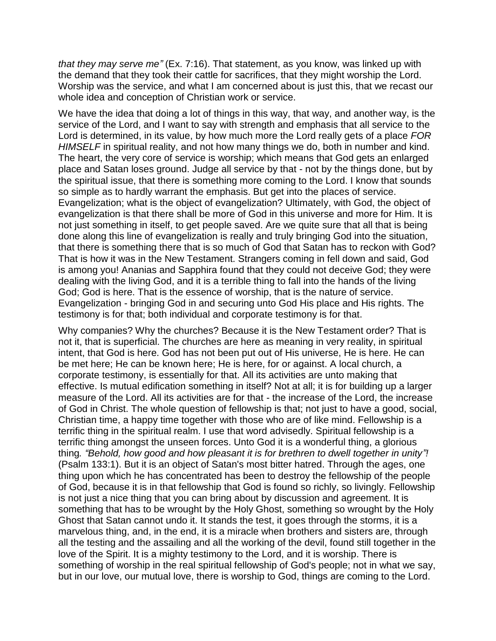*that they may serve me"* (Ex. 7:16). That statement, as you know, was linked up with the demand that they took their cattle for sacrifices, that they might worship the Lord. Worship was the service, and what I am concerned about is just this, that we recast our whole idea and conception of Christian work or service.

We have the idea that doing a lot of things in this way, that way, and another way, is the service of the Lord, and I want to say with strength and emphasis that all service to the Lord is determined, in its value, by how much more the Lord really gets of a place *FOR HIMSELF* in spiritual reality, and not how many things we do, both in number and kind. The heart, the very core of service is worship; which means that God gets an enlarged place and Satan loses ground. Judge all service by that - not by the things done, but by the spiritual issue, that there is something more coming to the Lord. I know that sounds so simple as to hardly warrant the emphasis. But get into the places of service. Evangelization; what is the object of evangelization? Ultimately, with God, the object of evangelization is that there shall be more of God in this universe and more for Him. It is not just something in itself, to get people saved. Are we quite sure that all that is being done along this line of evangelization is really and truly bringing God into the situation, that there is something there that is so much of God that Satan has to reckon with God? That is how it was in the New Testament. Strangers coming in fell down and said, God is among you! Ananias and Sapphira found that they could not deceive God; they were dealing with the living God, and it is a terrible thing to fall into the hands of the living God; God is here. That is the essence of worship, that is the nature of service. Evangelization - bringing God in and securing unto God His place and His rights. The testimony is for that; both individual and corporate testimony is for that.

Why companies? Why the churches? Because it is the New Testament order? That is not it, that is superficial. The churches are here as meaning in very reality, in spiritual intent, that God is here. God has not been put out of His universe, He is here. He can be met here; He can be known here; He is here, for or against. A local church, a corporate testimony, is essentially for that. All its activities are unto making that effective. Is mutual edification something in itself? Not at all; it is for building up a larger measure of the Lord. All its activities are for that - the increase of the Lord, the increase of God in Christ. The whole question of fellowship is that; not just to have a good, social, Christian time, a happy time together with those who are of like mind. Fellowship is a terrific thing in the spiritual realm. I use that word advisedly. Spiritual fellowship is a terrific thing amongst the unseen forces. Unto God it is a wonderful thing, a glorious thing*. "Behold, how good and how pleasant it is for brethren to dwell together in unity"!*  (Psalm 133:1). But it is an object of Satan's most bitter hatred. Through the ages, one thing upon which he has concentrated has been to destroy the fellowship of the people of God, because it is in that fellowship that God is found so richly, so livingly. Fellowship is not just a nice thing that you can bring about by discussion and agreement. It is something that has to be wrought by the Holy Ghost, something so wrought by the Holy Ghost that Satan cannot undo it. It stands the test, it goes through the storms, it is a marvelous thing, and, in the end, it is a miracle when brothers and sisters are, through all the testing and the assailing and all the working of the devil, found still together in the love of the Spirit. It is a mighty testimony to the Lord, and it is worship. There is something of worship in the real spiritual fellowship of God's people; not in what we say, but in our love, our mutual love, there is worship to God, things are coming to the Lord.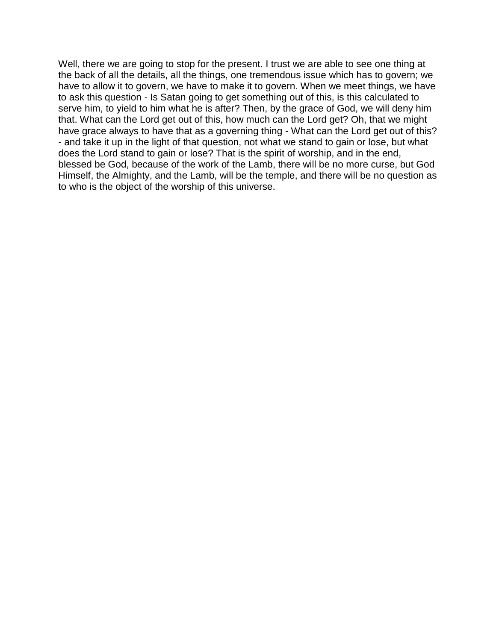Well, there we are going to stop for the present. I trust we are able to see one thing at the back of all the details, all the things, one tremendous issue which has to govern; we have to allow it to govern, we have to make it to govern. When we meet things, we have to ask this question - Is Satan going to get something out of this, is this calculated to serve him, to yield to him what he is after? Then, by the grace of God, we will deny him that. What can the Lord get out of this, how much can the Lord get? Oh, that we might have grace always to have that as a governing thing - What can the Lord get out of this? - and take it up in the light of that question, not what we stand to gain or lose, but what does the Lord stand to gain or lose? That is the spirit of worship, and in the end, blessed be God, because of the work of the Lamb, there will be no more curse, but God Himself, the Almighty, and the Lamb, will be the temple, and there will be no question as to who is the object of the worship of this universe.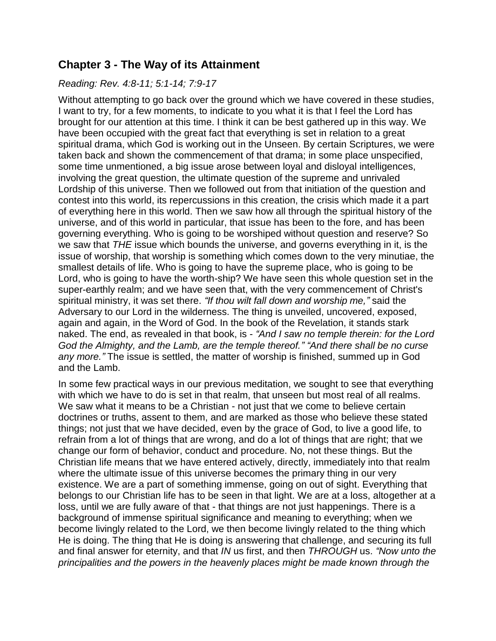# <span id="page-14-0"></span>**Chapter 3 - The Way of its Attainment**

#### *Reading: Rev. 4:8-11; 5:1-14; 7:9-17*

Without attempting to go back over the ground which we have covered in these studies, I want to try, for a few moments, to indicate to you what it is that I feel the Lord has brought for our attention at this time. I think it can be best gathered up in this way. We have been occupied with the great fact that everything is set in relation to a great spiritual drama, which God is working out in the Unseen. By certain Scriptures, we were taken back and shown the commencement of that drama; in some place unspecified, some time unmentioned, a big issue arose between loyal and disloyal intelligences, involving the great question, the ultimate question of the supreme and unrivaled Lordship of this universe. Then we followed out from that initiation of the question and contest into this world, its repercussions in this creation, the crisis which made it a part of everything here in this world. Then we saw how all through the spiritual history of the universe, and of this world in particular, that issue has been to the fore, and has been governing everything. Who is going to be worshiped without question and reserve? So we saw that *THE* issue which bounds the universe, and governs everything in it, is the issue of worship, that worship is something which comes down to the very minutiae, the smallest details of life. Who is going to have the supreme place, who is going to be Lord, who is going to have the worth-ship? We have seen this whole question set in the super-earthly realm; and we have seen that, with the very commencement of Christ's spiritual ministry, it was set there. *"If thou wilt fall down and worship me,"* said the Adversary to our Lord in the wilderness. The thing is unveiled, uncovered, exposed, again and again, in the Word of God. In the book of the Revelation, it stands stark naked. The end, as revealed in that book, is - *"And I saw no temple therein: for the Lord God the Almighty, and the Lamb, are the temple thereof." "And there shall be no curse any more."* The issue is settled, the matter of worship is finished, summed up in God and the Lamb.

In some few practical ways in our previous meditation, we sought to see that everything with which we have to do is set in that realm, that unseen but most real of all realms. We saw what it means to be a Christian - not just that we come to believe certain doctrines or truths, assent to them, and are marked as those who believe these stated things; not just that we have decided, even by the grace of God, to live a good life, to refrain from a lot of things that are wrong, and do a lot of things that are right; that we change our form of behavior, conduct and procedure. No, not these things. But the Christian life means that we have entered actively, directly, immediately into that realm where the ultimate issue of this universe becomes the primary thing in our very existence. We are a part of something immense, going on out of sight. Everything that belongs to our Christian life has to be seen in that light. We are at a loss, altogether at a loss, until we are fully aware of that - that things are not just happenings. There is a background of immense spiritual significance and meaning to everything; when we become livingly related to the Lord, we then become livingly related to the thing which He is doing. The thing that He is doing is answering that challenge, and securing its full and final answer for eternity, and that *IN* us first, and then *THROUGH* us. *"Now unto the principalities and the powers in the heavenly places might be made known through the*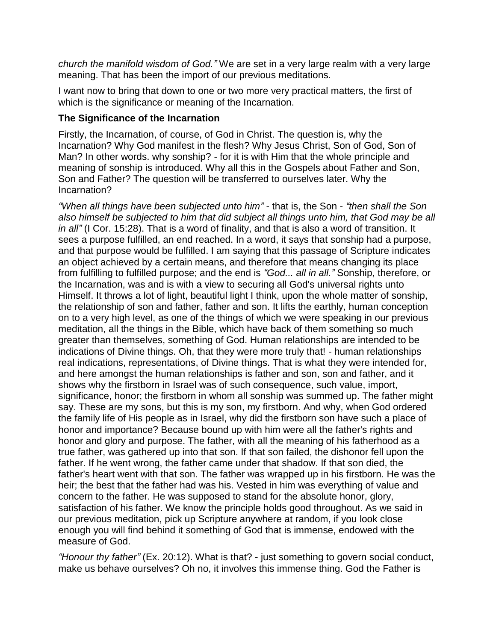*church the manifold wisdom of God."* We are set in a very large realm with a very large meaning. That has been the import of our previous meditations.

I want now to bring that down to one or two more very practical matters, the first of which is the significance or meaning of the Incarnation.

#### **The Significance of the Incarnation**

Firstly, the Incarnation, of course, of God in Christ. The question is, why the Incarnation? Why God manifest in the flesh? Why Jesus Christ, Son of God, Son of Man? In other words. why sonship? - for it is with Him that the whole principle and meaning of sonship is introduced. Why all this in the Gospels about Father and Son, Son and Father? The question will be transferred to ourselves later. Why the Incarnation?

*"When all things have been subjected unto him"* - that is, the Son - *"then shall the Son also himself be subjected to him that did subject all things unto him, that God may be all in all"* (I Cor. 15:28). That is a word of finality, and that is also a word of transition. It sees a purpose fulfilled, an end reached. In a word, it says that sonship had a purpose, and that purpose would be fulfilled. I am saying that this passage of Scripture indicates an object achieved by a certain means, and therefore that means changing its place from fulfilling to fulfilled purpose; and the end is *"God... all in all."* Sonship, therefore, or the Incarnation, was and is with a view to securing all God's universal rights unto Himself. It throws a lot of light, beautiful light I think, upon the whole matter of sonship, the relationship of son and father, father and son. It lifts the earthly, human conception on to a very high level, as one of the things of which we were speaking in our previous meditation, all the things in the Bible, which have back of them something so much greater than themselves, something of God. Human relationships are intended to be indications of Divine things. Oh, that they were more truly that! - human relationships real indications, representations, of Divine things. That is what they were intended for, and here amongst the human relationships is father and son, son and father, and it shows why the firstborn in Israel was of such consequence, such value, import, significance, honor; the firstborn in whom all sonship was summed up. The father might say. These are my sons, but this is my son, my firstborn. And why, when God ordered the family life of His people as in Israel, why did the firstborn son have such a place of honor and importance? Because bound up with him were all the father's rights and honor and glory and purpose. The father, with all the meaning of his fatherhood as a true father, was gathered up into that son. If that son failed, the dishonor fell upon the father. If he went wrong, the father came under that shadow. If that son died, the father's heart went with that son. The father was wrapped up in his firstborn. He was the heir; the best that the father had was his. Vested in him was everything of value and concern to the father. He was supposed to stand for the absolute honor, glory, satisfaction of his father. We know the principle holds good throughout. As we said in our previous meditation, pick up Scripture anywhere at random, if you look close enough you will find behind it something of God that is immense, endowed with the measure of God.

*"Honour thy father"* (Ex. 20:12). What is that? - just something to govern social conduct, make us behave ourselves? Oh no, it involves this immense thing. God the Father is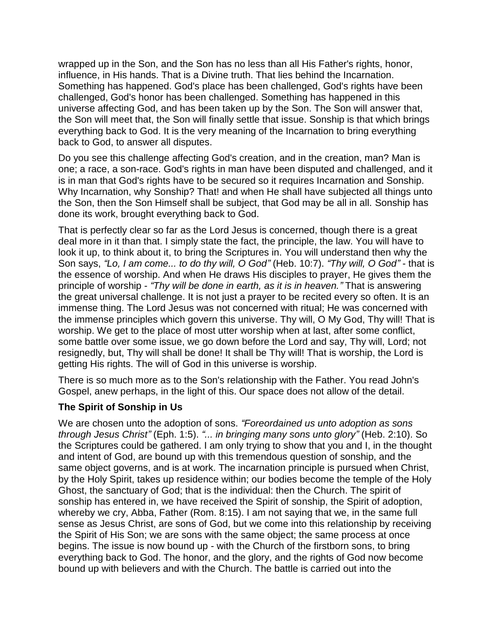wrapped up in the Son, and the Son has no less than all His Father's rights, honor, influence, in His hands. That is a Divine truth. That lies behind the Incarnation. Something has happened. God's place has been challenged, God's rights have been challenged, God's honor has been challenged. Something has happened in this universe affecting God, and has been taken up by the Son. The Son will answer that, the Son will meet that, the Son will finally settle that issue. Sonship is that which brings everything back to God. It is the very meaning of the Incarnation to bring everything back to God, to answer all disputes.

Do you see this challenge affecting God's creation, and in the creation, man? Man is one; a race, a son-race. God's rights in man have been disputed and challenged, and it is in man that God's rights have to be secured so it requires Incarnation and Sonship. Why Incarnation, why Sonship? That! and when He shall have subjected all things unto the Son, then the Son Himself shall be subject, that God may be all in all. Sonship has done its work, brought everything back to God.

That is perfectly clear so far as the Lord Jesus is concerned, though there is a great deal more in it than that. I simply state the fact, the principle, the law. You will have to look it up, to think about it, to bring the Scriptures in. You will understand then why the Son says, *"Lo, I am come... to do thy will, O God"* (Heb. 10:7). *"Thy will, O God"* - that is the essence of worship. And when He draws His disciples to prayer, He gives them the principle of worship - *"Thy will be done in earth, as it is in heaven."* That is answering the great universal challenge. It is not just a prayer to be recited every so often. It is an immense thing. The Lord Jesus was not concerned with ritual; He was concerned with the immense principles which govern this universe. Thy will, O My God, Thy will! That is worship. We get to the place of most utter worship when at last, after some conflict, some battle over some issue, we go down before the Lord and say, Thy will, Lord; not resignedly, but, Thy will shall be done! It shall be Thy will! That is worship, the Lord is getting His rights. The will of God in this universe is worship.

There is so much more as to the Son's relationship with the Father. You read John's Gospel, anew perhaps, in the light of this. Our space does not allow of the detail.

## **The Spirit of Sonship in Us**

We are chosen unto the adoption of sons. *"Foreordained us unto adoption as sons through Jesus Christ"* (Eph. 1:5). *"... in bringing many sons unto glory"* (Heb. 2:10). So the Scriptures could be gathered. I am only trying to show that you and I, in the thought and intent of God, are bound up with this tremendous question of sonship, and the same object governs, and is at work. The incarnation principle is pursued when Christ, by the Holy Spirit, takes up residence within; our bodies become the temple of the Holy Ghost, the sanctuary of God; that is the individual: then the Church. The spirit of sonship has entered in, we have received the Spirit of sonship, the Spirit of adoption, whereby we cry, Abba, Father (Rom. 8:15). I am not saying that we, in the same full sense as Jesus Christ, are sons of God, but we come into this relationship by receiving the Spirit of His Son; we are sons with the same object; the same process at once begins. The issue is now bound up - with the Church of the firstborn sons, to bring everything back to God. The honor, and the glory, and the rights of God now become bound up with believers and with the Church. The battle is carried out into the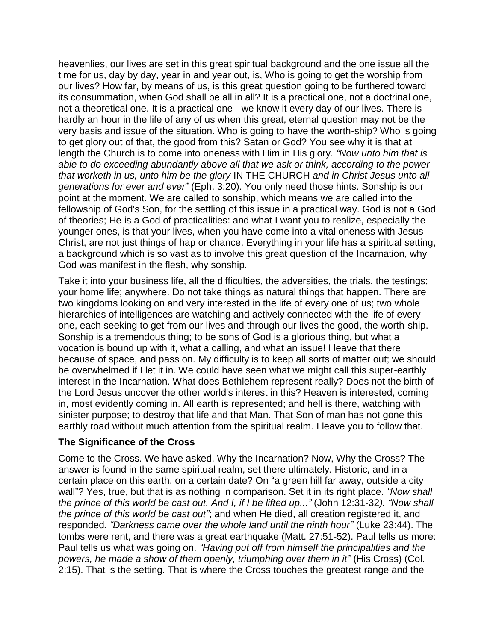heavenlies, our lives are set in this great spiritual background and the one issue all the time for us, day by day, year in and year out, is, Who is going to get the worship from our lives? How far, by means of us, is this great question going to be furthered toward its consummation, when God shall be all in all? It is a practical one, not a doctrinal one, not a theoretical one. It is a practical one - we know it every day of our lives. There is hardly an hour in the life of any of us when this great, eternal question may not be the very basis and issue of the situation. Who is going to have the worth-ship? Who is going to get glory out of that, the good from this? Satan or God? You see why it is that at length the Church is to come into oneness with Him in His glory. *"Now unto him that is able to do exceeding abundantly above all that we ask or think, according to the power that worketh in us, unto him be the glory* IN THE CHURCH *and in Christ Jesus unto all generations for ever and ever"* (Eph. 3:20). You only need those hints. Sonship is our point at the moment. We are called to sonship, which means we are called into the fellowship of God's Son, for the settling of this issue in a practical way. God is not a God of theories; He is a God of practicalities: and what I want you to realize, especially the younger ones, is that your lives, when you have come into a vital oneness with Jesus Christ, are not just things of hap or chance. Everything in your life has a spiritual setting, a background which is so vast as to involve this great question of the Incarnation, why God was manifest in the flesh, why sonship.

Take it into your business life, all the difficulties, the adversities, the trials, the testings; your home life; anywhere. Do not take things as natural things that happen. There are two kingdoms looking on and very interested in the life of every one of us; two whole hierarchies of intelligences are watching and actively connected with the life of every one, each seeking to get from our lives and through our lives the good, the worth-ship. Sonship is a tremendous thing; to be sons of God is a glorious thing, but what a vocation is bound up with it, what a calling, and what an issue! I leave that there because of space, and pass on. My difficulty is to keep all sorts of matter out; we should be overwhelmed if I let it in. We could have seen what we might call this super-earthly interest in the Incarnation. What does Bethlehem represent really? Does not the birth of the Lord Jesus uncover the other world's interest in this? Heaven is interested, coming in, most evidently coming in. All earth is represented; and hell is there, watching with sinister purpose; to destroy that life and that Man. That Son of man has not gone this earthly road without much attention from the spiritual realm. I leave you to follow that.

#### **The Significance of the Cross**

Come to the Cross. We have asked, Why the Incarnation? Now, Why the Cross? The answer is found in the same spiritual realm, set there ultimately. Historic, and in a certain place on this earth, on a certain date? On "a green hill far away, outside a city wall"? Yes, true, but that is as nothing in comparison. Set it in its right place. *"Now shall the prince of this world be cast out. And I, if I be lifted up..."* (John 12:31-32*). "Now shall the prince of this world be cast out"*; and when He died, all creation registered it, and responded*. "Darkness came over the whole land until the ninth hour"* (Luke 23:44). The tombs were rent, and there was a great earthquake (Matt. 27:51-52). Paul tells us more: Paul tells us what was going on. *"Having put off from himself the principalities and the powers, he made a show of them openly, triumphing over them in it"* (His Cross) (Col. 2:15). That is the setting. That is where the Cross touches the greatest range and the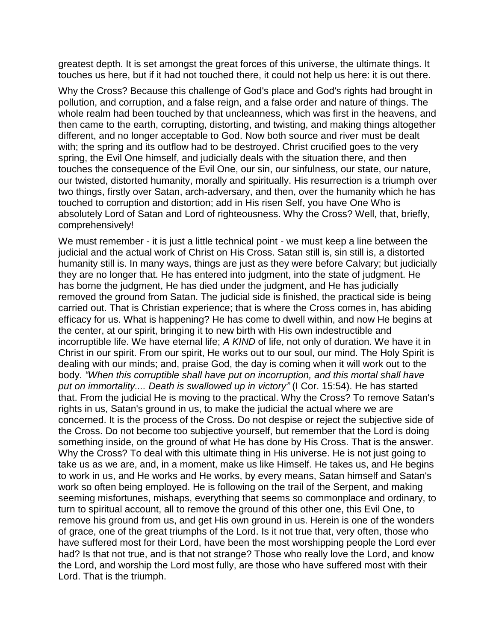greatest depth. It is set amongst the great forces of this universe, the ultimate things. It touches us here, but if it had not touched there, it could not help us here: it is out there.

Why the Cross? Because this challenge of God's place and God's rights had brought in pollution, and corruption, and a false reign, and a false order and nature of things. The whole realm had been touched by that uncleanness, which was first in the heavens, and then came to the earth, corrupting, distorting, and twisting, and making things altogether different, and no longer acceptable to God. Now both source and river must be dealt with; the spring and its outflow had to be destroyed. Christ crucified goes to the very spring, the Evil One himself, and judicially deals with the situation there, and then touches the consequence of the Evil One, our sin, our sinfulness, our state, our nature, our twisted, distorted humanity, morally and spiritually. His resurrection is a triumph over two things, firstly over Satan, arch-adversary, and then, over the humanity which he has touched to corruption and distortion; add in His risen Self, you have One Who is absolutely Lord of Satan and Lord of righteousness. Why the Cross? Well, that, briefly, comprehensively!

We must remember - it is just a little technical point - we must keep a line between the judicial and the actual work of Christ on His Cross. Satan still is, sin still is, a distorted humanity still is. In many ways, things are just as they were before Calvary; but judicially they are no longer that. He has entered into judgment, into the state of judgment. He has borne the judgment, He has died under the judgment, and He has judicially removed the ground from Satan. The judicial side is finished, the practical side is being carried out. That is Christian experience; that is where the Cross comes in, has abiding efficacy for us. What is happening? He has come to dwell within, and now He begins at the center, at our spirit, bringing it to new birth with His own indestructible and incorruptible life. We have eternal life; *A KIND* of life, not only of duration. We have it in Christ in our spirit. From our spirit, He works out to our soul, our mind. The Holy Spirit is dealing with our minds; and, praise God, the day is coming when it will work out to the body. *"When this corruptible shall have put on incorruption, and this mortal shall have put on immortality.... Death is swallowed up in victory"* (I Cor. 15:54). He has started that. From the judicial He is moving to the practical. Why the Cross? To remove Satan's rights in us, Satan's ground in us, to make the judicial the actual where we are concerned. It is the process of the Cross. Do not despise or reject the subjective side of the Cross. Do not become too subjective yourself, but remember that the Lord is doing something inside, on the ground of what He has done by His Cross. That is the answer. Why the Cross? To deal with this ultimate thing in His universe. He is not just going to take us as we are, and, in a moment, make us like Himself. He takes us, and He begins to work in us, and He works and He works, by every means, Satan himself and Satan's work so often being employed. He is following on the trail of the Serpent, and making seeming misfortunes, mishaps, everything that seems so commonplace and ordinary, to turn to spiritual account, all to remove the ground of this other one, this Evil One, to remove his ground from us, and get His own ground in us. Herein is one of the wonders of grace, one of the great triumphs of the Lord. Is it not true that, very often, those who have suffered most for their Lord, have been the most worshipping people the Lord ever had? Is that not true, and is that not strange? Those who really love the Lord, and know the Lord, and worship the Lord most fully, are those who have suffered most with their Lord. That is the triumph.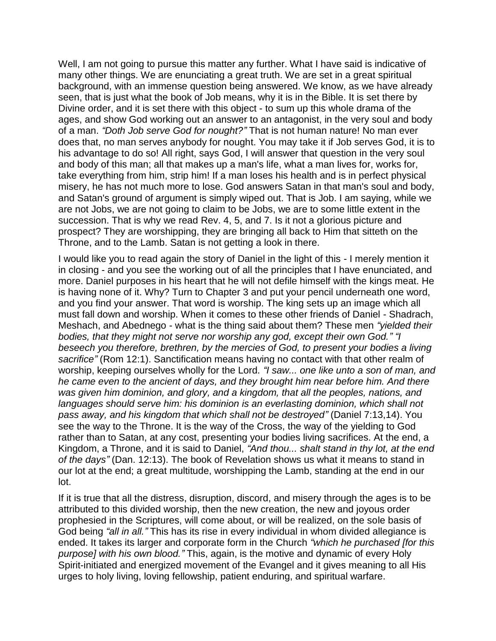Well, I am not going to pursue this matter any further. What I have said is indicative of many other things. We are enunciating a great truth. We are set in a great spiritual background, with an immense question being answered. We know, as we have already seen, that is just what the book of Job means, why it is in the Bible. It is set there by Divine order, and it is set there with this object - to sum up this whole drama of the ages, and show God working out an answer to an antagonist, in the very soul and body of a man. *"Doth Job serve God for nought?"* That is not human nature! No man ever does that, no man serves anybody for nought. You may take it if Job serves God, it is to his advantage to do so! All right, says God, I will answer that question in the very soul and body of this man; all that makes up a man's life, what a man lives for, works for, take everything from him, strip him! If a man loses his health and is in perfect physical misery, he has not much more to lose. God answers Satan in that man's soul and body, and Satan's ground of argument is simply wiped out. That is Job. I am saying, while we are not Jobs, we are not going to claim to be Jobs, we are to some little extent in the succession. That is why we read Rev. 4, 5, and 7. Is it not a glorious picture and prospect? They are worshipping, they are bringing all back to Him that sitteth on the Throne, and to the Lamb. Satan is not getting a look in there.

I would like you to read again the story of Daniel in the light of this - I merely mention it in closing - and you see the working out of all the principles that I have enunciated, and more. Daniel purposes in his heart that he will not defile himself with the kings meat. He is having none of it. Why? Turn to Chapter 3 and put your pencil underneath one word, and you find your answer. That word is worship. The king sets up an image which all must fall down and worship. When it comes to these other friends of Daniel - Shadrach, Meshach, and Abednego - what is the thing said about them? These men *"yielded their bodies, that they might not serve nor worship any god, except their own God." "I beseech you therefore, brethren, by the mercies of God, to present your bodies a living sacrifice"* (Rom 12:1). Sanctification means having no contact with that other realm of worship, keeping ourselves wholly for the Lord*. "I saw... one like unto a son of man, and he came even to the ancient of days, and they brought him near before him. And there was given him dominion, and glory, and a kingdom, that all the peoples, nations, and*  languages should serve him: his dominion is an everlasting dominion, which shall not *pass away, and his kingdom that which shall not be destroyed"* (Daniel 7:13,14). You see the way to the Throne. It is the way of the Cross, the way of the yielding to God rather than to Satan, at any cost, presenting your bodies living sacrifices. At the end, a Kingdom, a Throne, and it is said to Daniel, *"And thou... shalt stand in thy lot, at the end of the days"* (Dan. 12:13). The book of Revelation shows us what it means to stand in our lot at the end; a great multitude, worshipping the Lamb, standing at the end in our lot.

If it is true that all the distress, disruption, discord, and misery through the ages is to be attributed to this divided worship, then the new creation, the new and joyous order prophesied in the Scriptures, will come about, or will be realized, on the sole basis of God being *"all in all."* This has its rise in every individual in whom divided allegiance is ended. It takes its larger and corporate form in the Church *"which he purchased [for this purpose] with his own blood."* This, again, is the motive and dynamic of every Holy Spirit-initiated and energized movement of the Evangel and it gives meaning to all His urges to holy living, loving fellowship, patient enduring, and spiritual warfare.